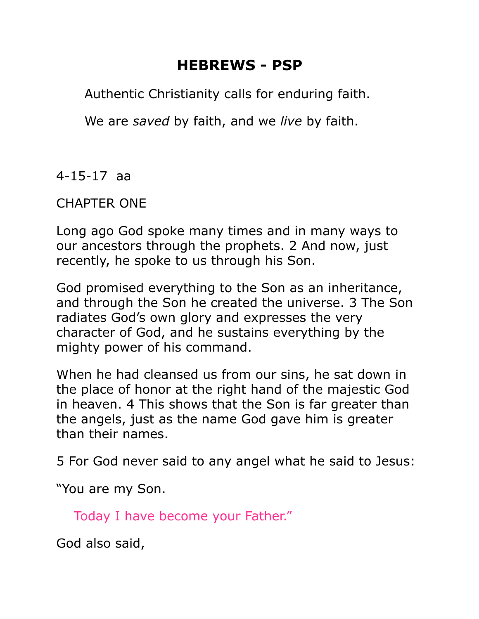# **HEBREWS - PSP**

Authentic Christianity calls for enduring faith.

We are *saved* by faith, and we *live* by faith.

4-15-17 aa

CHAPTER ONE

Long ago God spoke many times and in many ways to our ancestors through the prophets. 2 And now, just recently, he spoke to us through his Son.

God promised everything to the Son as an inheritance, and through the Son he created the universe. 3 The Son radiates God's own glory and expresses the very character of God, and he sustains everything by the mighty power of his command.

When he had cleansed us from our sins, he sat down in the place of honor at the right hand of the majestic God in heaven. 4 This shows that the Son is far greater than the angels, just as the name God gave him is greater than their names.

5 For God never said to any angel what he said to Jesus:

"You are my Son.

Today I have become your Father."

God also said,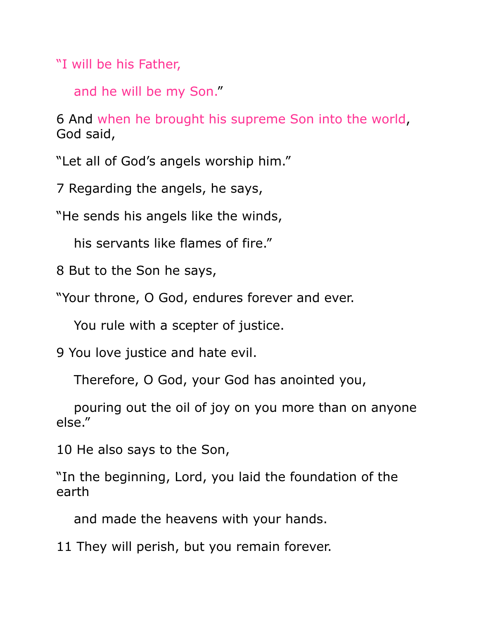"I will be his Father,

and he will be my Son."

6 And when he brought his supreme Son into the world, God said,

"Let all of God's angels worship him."

7 Regarding the angels, he says,

"He sends his angels like the winds,

his servants like flames of fire."

8 But to the Son he says,

"Your throne, O God, endures forever and ever.

You rule with a scepter of justice.

9 You love justice and hate evil.

Therefore, O God, your God has anointed you,

 pouring out the oil of joy on you more than on anyone else."

10 He also says to the Son,

"In the beginning, Lord, you laid the foundation of the earth

and made the heavens with your hands.

11 They will perish, but you remain forever.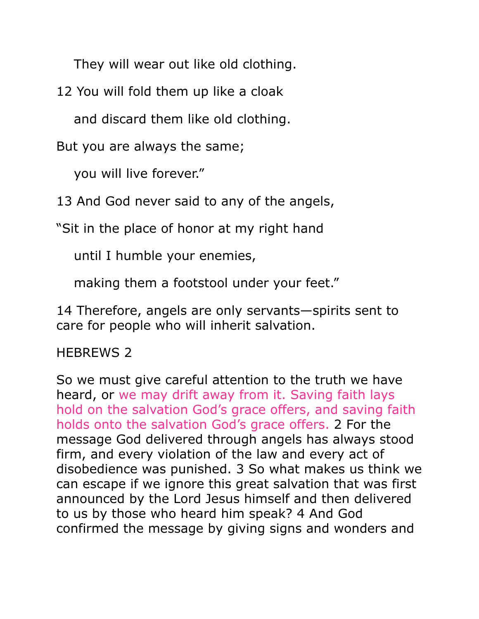They will wear out like old clothing.

12 You will fold them up like a cloak

and discard them like old clothing.

But you are always the same;

you will live forever."

13 And God never said to any of the angels,

"Sit in the place of honor at my right hand

until I humble your enemies,

making them a footstool under your feet."

14 Therefore, angels are only servants—spirits sent to care for people who will inherit salvation.

#### HEBREWS 2

So we must give careful attention to the truth we have heard, or we may drift away from it. Saving faith lays hold on the salvation God's grace offers, and saving faith holds onto the salvation God's grace offers. 2 For the message God delivered through angels has always stood firm, and every violation of the law and every act of disobedience was punished. 3 So what makes us think we can escape if we ignore this great salvation that was first announced by the Lord Jesus himself and then delivered to us by those who heard him speak? 4 And God confirmed the message by giving signs and wonders and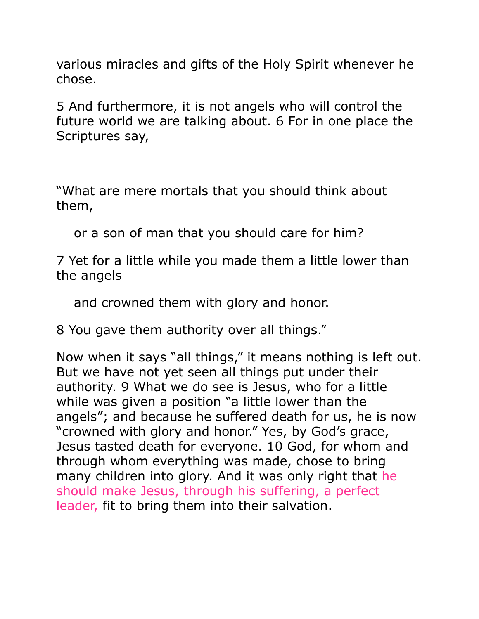various miracles and gifts of the Holy Spirit whenever he chose.

5 And furthermore, it is not angels who will control the future world we are talking about. 6 For in one place the Scriptures say,

"What are mere mortals that you should think about them,

or a son of man that you should care for him?

7 Yet for a little while you made them a little lower than the angels

and crowned them with glory and honor.

8 You gave them authority over all things."

Now when it says "all things," it means nothing is left out. But we have not yet seen all things put under their authority. 9 What we do see is Jesus, who for a little while was given a position "a little lower than the angels"; and because he suffered death for us, he is now "crowned with glory and honor." Yes, by God's grace, Jesus tasted death for everyone. 10 God, for whom and through whom everything was made, chose to bring many children into glory. And it was only right that he should make Jesus, through his suffering, a perfect leader, fit to bring them into their salvation.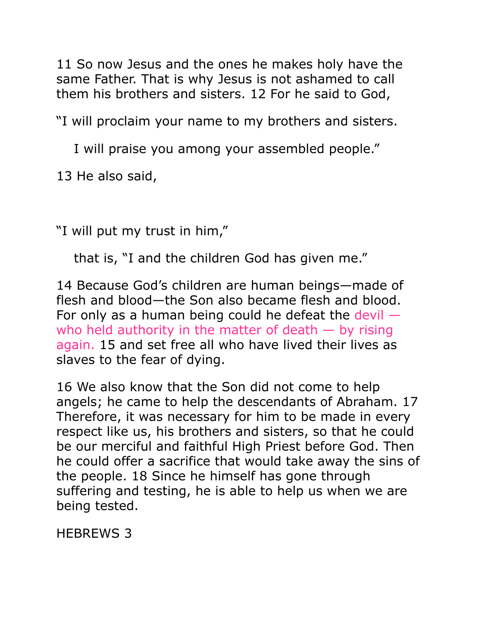11 So now Jesus and the ones he makes holy have the same Father. That is why Jesus is not ashamed to call them his brothers and sisters. 12 For he said to God,

"I will proclaim your name to my brothers and sisters.

I will praise you among your assembled people."

13 He also said,

"I will put my trust in him,"

that is, "I and the children God has given me."

14 Because God's children are human beings—made of flesh and blood—the Son also became flesh and blood. For only as a human being could he defeat the devil  $$ who held authority in the matter of death  $-$  by rising again. 15 and set free all who have lived their lives as slaves to the fear of dying.

16 We also know that the Son did not come to help angels; he came to help the descendants of Abraham. 17 Therefore, it was necessary for him to be made in every respect like us, his brothers and sisters, so that he could be our merciful and faithful High Priest before God. Then he could offer a sacrifice that would take away the sins of the people. 18 Since he himself has gone through suffering and testing, he is able to help us when we are being tested.

HEBREWS 3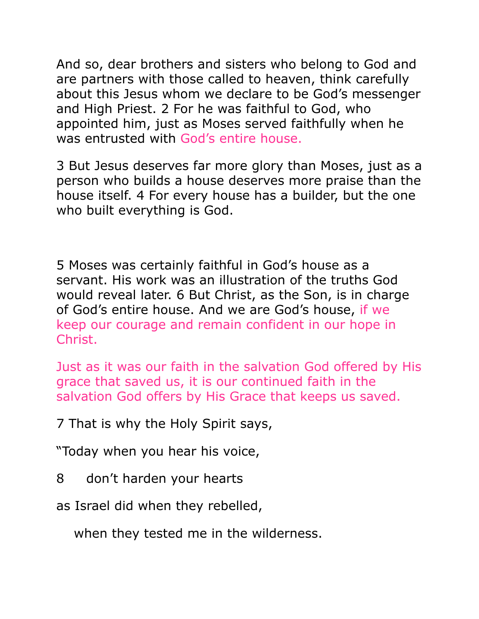And so, dear brothers and sisters who belong to God and are partners with those called to heaven, think carefully about this Jesus whom we declare to be God's messenger and High Priest. 2 For he was faithful to God, who appointed him, just as Moses served faithfully when he was entrusted with God's entire house.

3 But Jesus deserves far more glory than Moses, just as a person who builds a house deserves more praise than the house itself. 4 For every house has a builder, but the one who built everything is God.

5 Moses was certainly faithful in God's house as a servant. His work was an illustration of the truths God would reveal later. 6 But Christ, as the Son, is in charge of God's entire house. And we are God's house, if we keep our courage and remain confident in our hope in Christ.

Just as it was our faith in the salvation God offered by His grace that saved us, it is our continued faith in the salvation God offers by His Grace that keeps us saved.

7 That is why the Holy Spirit says,

"Today when you hear his voice,

8 don't harden your hearts

as Israel did when they rebelled,

when they tested me in the wilderness.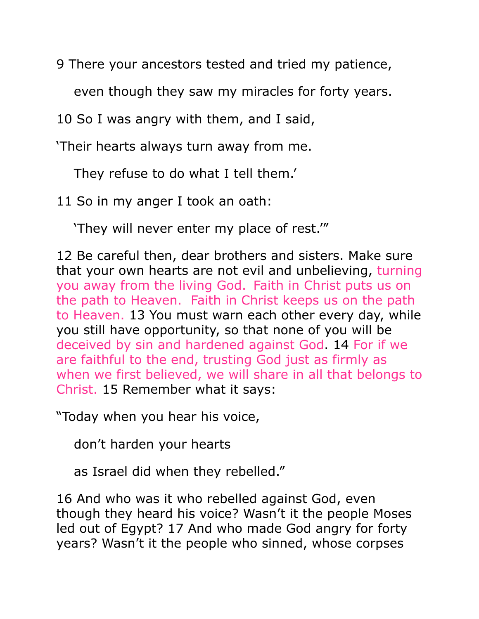9 There your ancestors tested and tried my patience,

even though they saw my miracles for forty years.

10 So I was angry with them, and I said,

'Their hearts always turn away from me.

They refuse to do what I tell them.'

11 So in my anger I took an oath:

'They will never enter my place of rest.'"

12 Be careful then, dear brothers and sisters. Make sure that your own hearts are not evil and unbelieving, turning you away from the living God. Faith in Christ puts us on the path to Heaven. Faith in Christ keeps us on the path to Heaven. 13 You must warn each other every day, while you still have opportunity, so that none of you will be deceived by sin and hardened against God. 14 For if we are faithful to the end, trusting God just as firmly as when we first believed, we will share in all that belongs to Christ. 15 Remember what it says:

"Today when you hear his voice,

don't harden your hearts

as Israel did when they rebelled."

16 And who was it who rebelled against God, even though they heard his voice? Wasn't it the people Moses led out of Egypt? 17 And who made God angry for forty years? Wasn't it the people who sinned, whose corpses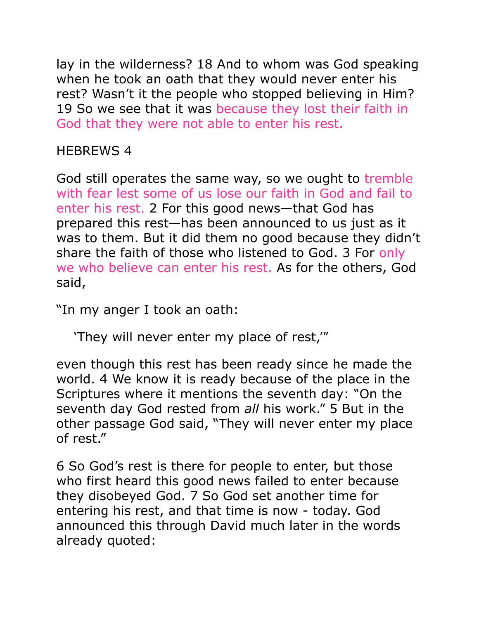lay in the wilderness? 18 And to whom was God speaking when he took an oath that they would never enter his rest? Wasn't it the people who stopped believing in Him? 19 So we see that it was because they lost their faith in God that they were not able to enter his rest.

HEBREWS 4

God still operates the same way, so we ought to tremble with fear lest some of us lose our faith in God and fail to enter his rest. 2 For this good news—that God has prepared this rest—has been announced to us just as it was to them. But it did them no good because they didn't share the faith of those who listened to God. 3 For only we who believe can enter his rest. As for the others, God said,

"In my anger I took an oath:

'They will never enter my place of rest,'"

even though this rest has been ready since he made the world. 4 We know it is ready because of the place in the Scriptures where it mentions the seventh day: "On the seventh day God rested from *all* his work." 5 But in the other passage God said, "They will never enter my place of rest."

6 So God's rest is there for people to enter, but those who first heard this good news failed to enter because they disobeyed God. 7 So God set another time for entering his rest, and that time is now - today. God announced this through David much later in the words already quoted: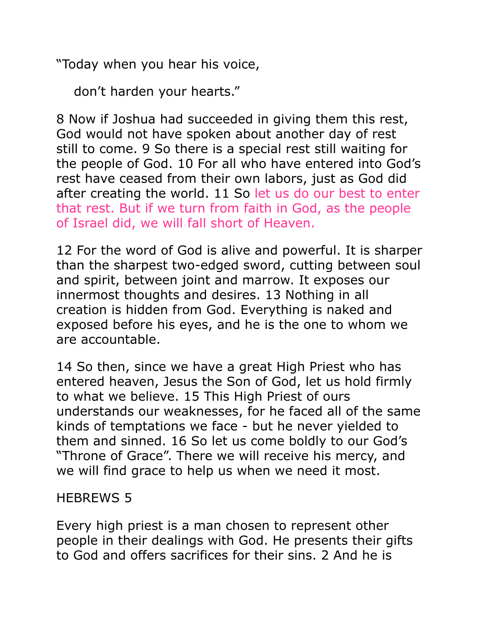"Today when you hear his voice,

don't harden your hearts."

8 Now if Joshua had succeeded in giving them this rest, God would not have spoken about another day of rest still to come. 9 So there is a special rest still waiting for the people of God. 10 For all who have entered into God's rest have ceased from their own labors, just as God did after creating the world. 11 So let us do our best to enter that rest. But if we turn from faith in God, as the people of Israel did, we will fall short of Heaven.

12 For the word of God is alive and powerful. It is sharper than the sharpest two-edged sword, cutting between soul and spirit, between joint and marrow. It exposes our innermost thoughts and desires. 13 Nothing in all creation is hidden from God. Everything is naked and exposed before his eyes, and he is the one to whom we are accountable.

14 So then, since we have a great High Priest who has entered heaven, Jesus the Son of God, let us hold firmly to what we believe. 15 This High Priest of ours understands our weaknesses, for he faced all of the same kinds of temptations we face - but he never yielded to them and sinned. 16 So let us come boldly to our God's "Throne of Grace". There we will receive his mercy, and we will find grace to help us when we need it most.

### HEBREWS 5

Every high priest is a man chosen to represent other people in their dealings with God. He presents their gifts to God and offers sacrifices for their sins. 2 And he is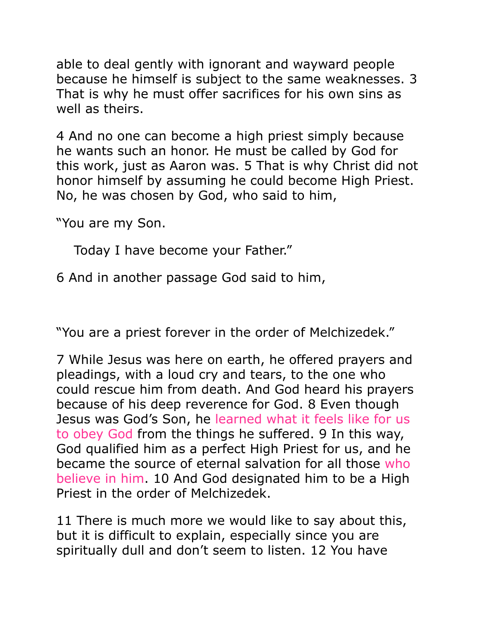able to deal gently with ignorant and wayward people because he himself is subject to the same weaknesses. 3 That is why he must offer sacrifices for his own sins as well as theirs.

4 And no one can become a high priest simply because he wants such an honor. He must be called by God for this work, just as Aaron was. 5 That is why Christ did not honor himself by assuming he could become High Priest. No, he was chosen by God, who said to him,

"You are my Son.

Today I have become your Father."

6 And in another passage God said to him,

"You are a priest forever in the order of Melchizedek."

7 While Jesus was here on earth, he offered prayers and pleadings, with a loud cry and tears, to the one who could rescue him from death. And God heard his prayers because of his deep reverence for God. 8 Even though Jesus was God's Son, he learned what it feels like for us to obey God from the things he suffered. 9 In this way, God qualified him as a perfect High Priest for us, and he became the source of eternal salvation for all those who believe in him. 10 And God designated him to be a High Priest in the order of Melchizedek.

11 There is much more we would like to say about this, but it is difficult to explain, especially since you are spiritually dull and don't seem to listen. 12 You have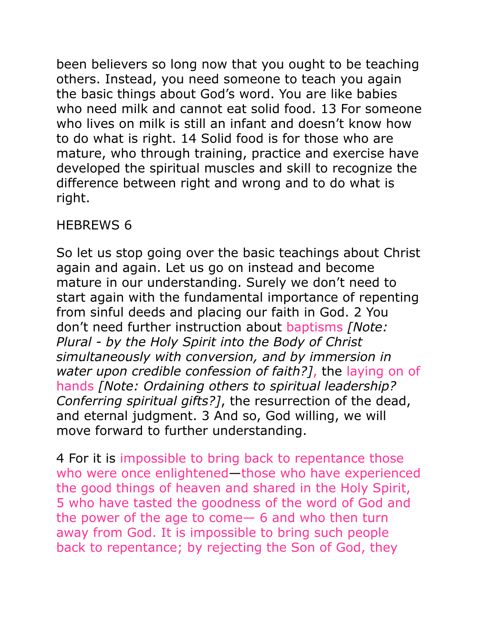been believers so long now that you ought to be teaching others. Instead, you need someone to teach you again the basic things about God's word. You are like babies who need milk and cannot eat solid food. 13 For someone who lives on milk is still an infant and doesn't know how to do what is right. 14 Solid food is for those who are mature, who through training, practice and exercise have developed the spiritual muscles and skill to recognize the difference between right and wrong and to do what is right.

### HEBREWS 6

So let us stop going over the basic teachings about Christ again and again. Let us go on instead and become mature in our understanding. Surely we don't need to start again with the fundamental importance of repenting from sinful deeds and placing our faith in God. 2 You don't need further instruction about baptisms *[Note: Plural - by the Holy Spirit into the Body of Christ simultaneously with conversion, and by immersion in water upon credible confession of faith?]*, the laying on of hands *[Note: Ordaining others to spiritual leadership? Conferring spiritual gifts?]*, the resurrection of the dead, and eternal judgment. 3 And so, God willing, we will move forward to further understanding.

4 For it is impossible to bring back to repentance those who were once enlightened—those who have experienced the good things of heaven and shared in the Holy Spirit, 5 who have tasted the goodness of the word of God and the power of the age to come— 6 and who then turn away from God. It is impossible to bring such people back to repentance; by rejecting the Son of God, they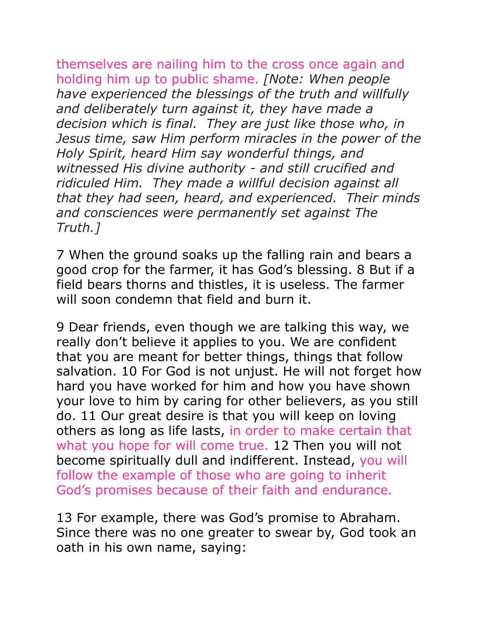themselves are nailing him to the cross once again and holding him up to public shame. *[Note: When people have experienced the blessings of the truth and willfully and deliberately turn against it, they have made a decision which is final. They are just like those who, in Jesus time, saw Him perform miracles in the power of the Holy Spirit, heard Him say wonderful things, and witnessed His divine authority - and still crucified and ridiculed Him. They made a willful decision against all that they had seen, heard, and experienced. Their minds and consciences were permanently set against The Truth.]*

7 When the ground soaks up the falling rain and bears a good crop for the farmer, it has God's blessing. 8 But if a field bears thorns and thistles, it is useless. The farmer will soon condemn that field and burn it.

9 Dear friends, even though we are talking this way, we really don't believe it applies to you. We are confident that you are meant for better things, things that follow salvation. 10 For God is not unjust. He will not forget how hard you have worked for him and how you have shown your love to him by caring for other believers, as you still do. 11 Our great desire is that you will keep on loving others as long as life lasts, in order to make certain that what you hope for will come true. 12 Then you will not become spiritually dull and indifferent. Instead, you will follow the example of those who are going to inherit God's promises because of their faith and endurance.

13 For example, there was God's promise to Abraham. Since there was no one greater to swear by, God took an oath in his own name, saying: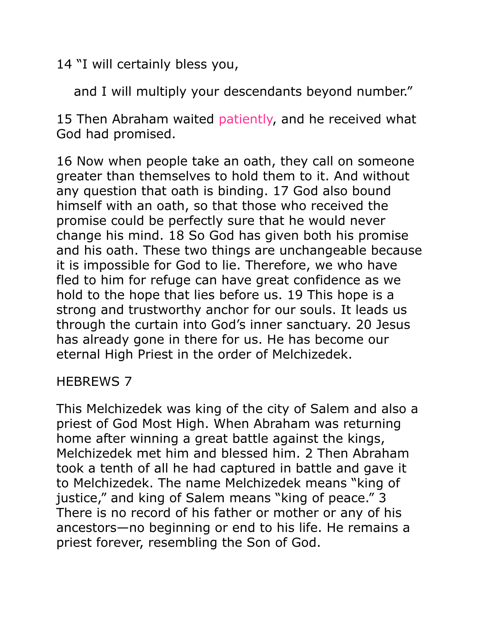14 "I will certainly bless you,

and I will multiply your descendants beyond number."

15 Then Abraham waited patiently, and he received what God had promised.

16 Now when people take an oath, they call on someone greater than themselves to hold them to it. And without any question that oath is binding. 17 God also bound himself with an oath, so that those who received the promise could be perfectly sure that he would never change his mind. 18 So God has given both his promise and his oath. These two things are unchangeable because it is impossible for God to lie. Therefore, we who have fled to him for refuge can have great confidence as we hold to the hope that lies before us. 19 This hope is a strong and trustworthy anchor for our souls. It leads us through the curtain into God's inner sanctuary. 20 Jesus has already gone in there for us. He has become our eternal High Priest in the order of Melchizedek.

#### HEBREWS 7

This Melchizedek was king of the city of Salem and also a priest of God Most High. When Abraham was returning home after winning a great battle against the kings, Melchizedek met him and blessed him. 2 Then Abraham took a tenth of all he had captured in battle and gave it to Melchizedek. The name Melchizedek means "king of justice," and king of Salem means "king of peace." 3 There is no record of his father or mother or any of his ancestors—no beginning or end to his life. He remains a priest forever, resembling the Son of God.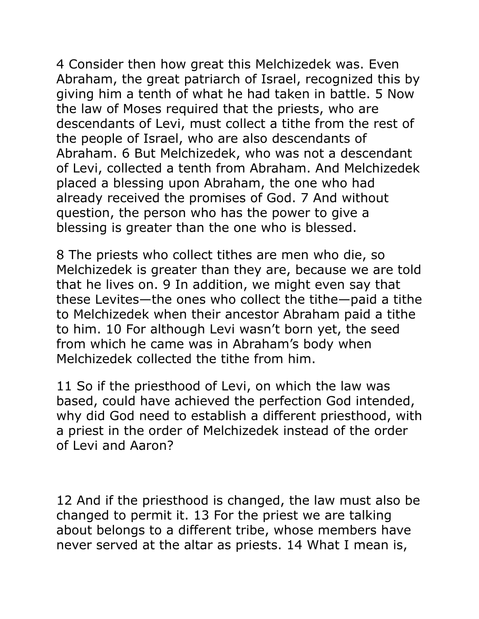4 Consider then how great this Melchizedek was. Even Abraham, the great patriarch of Israel, recognized this by giving him a tenth of what he had taken in battle. 5 Now the law of Moses required that the priests, who are descendants of Levi, must collect a tithe from the rest of the people of Israel, who are also descendants of Abraham. 6 But Melchizedek, who was not a descendant of Levi, collected a tenth from Abraham. And Melchizedek placed a blessing upon Abraham, the one who had already received the promises of God. 7 And without question, the person who has the power to give a blessing is greater than the one who is blessed.

8 The priests who collect tithes are men who die, so Melchizedek is greater than they are, because we are told that he lives on. 9 In addition, we might even say that these Levites—the ones who collect the tithe—paid a tithe to Melchizedek when their ancestor Abraham paid a tithe to him. 10 For although Levi wasn't born yet, the seed from which he came was in Abraham's body when Melchizedek collected the tithe from him.

11 So if the priesthood of Levi, on which the law was based, could have achieved the perfection God intended, why did God need to establish a different priesthood, with a priest in the order of Melchizedek instead of the order of Levi and Aaron?

12 And if the priesthood is changed, the law must also be changed to permit it. 13 For the priest we are talking about belongs to a different tribe, whose members have never served at the altar as priests. 14 What I mean is,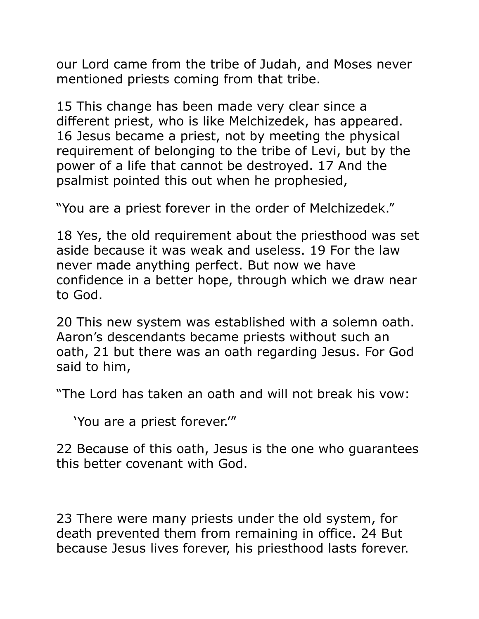our Lord came from the tribe of Judah, and Moses never mentioned priests coming from that tribe.

15 This change has been made very clear since a different priest, who is like Melchizedek, has appeared. 16 Jesus became a priest, not by meeting the physical requirement of belonging to the tribe of Levi, but by the power of a life that cannot be destroyed. 17 And the psalmist pointed this out when he prophesied,

"You are a priest forever in the order of Melchizedek."

18 Yes, the old requirement about the priesthood was set aside because it was weak and useless. 19 For the law never made anything perfect. But now we have confidence in a better hope, through which we draw near to God.

20 This new system was established with a solemn oath. Aaron's descendants became priests without such an oath, 21 but there was an oath regarding Jesus. For God said to him,

"The Lord has taken an oath and will not break his vow:

'You are a priest forever.'"

22 Because of this oath, Jesus is the one who guarantees this better covenant with God.

23 There were many priests under the old system, for death prevented them from remaining in office. 24 But because Jesus lives forever, his priesthood lasts forever.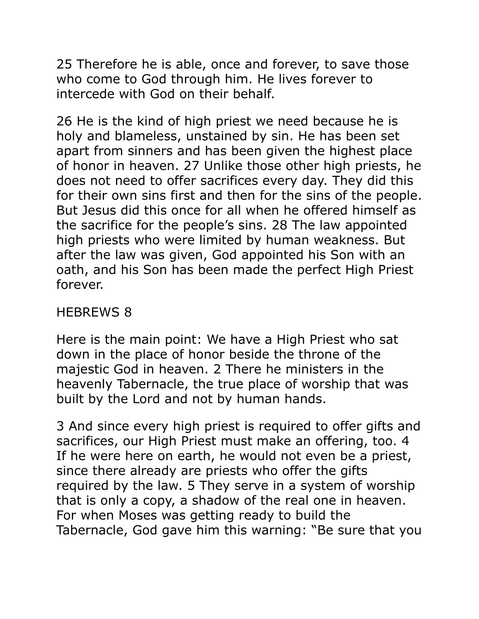25 Therefore he is able, once and forever, to save those who come to God through him. He lives forever to intercede with God on their behalf.

26 He is the kind of high priest we need because he is holy and blameless, unstained by sin. He has been set apart from sinners and has been given the highest place of honor in heaven. 27 Unlike those other high priests, he does not need to offer sacrifices every day. They did this for their own sins first and then for the sins of the people. But Jesus did this once for all when he offered himself as the sacrifice for the people's sins. 28 The law appointed high priests who were limited by human weakness. But after the law was given, God appointed his Son with an oath, and his Son has been made the perfect High Priest forever.

### HEBREWS 8

Here is the main point: We have a High Priest who sat down in the place of honor beside the throne of the majestic God in heaven. 2 There he ministers in the heavenly Tabernacle, the true place of worship that was built by the Lord and not by human hands.

3 And since every high priest is required to offer gifts and sacrifices, our High Priest must make an offering, too. 4 If he were here on earth, he would not even be a priest, since there already are priests who offer the gifts required by the law. 5 They serve in a system of worship that is only a copy, a shadow of the real one in heaven. For when Moses was getting ready to build the Tabernacle, God gave him this warning: "Be sure that you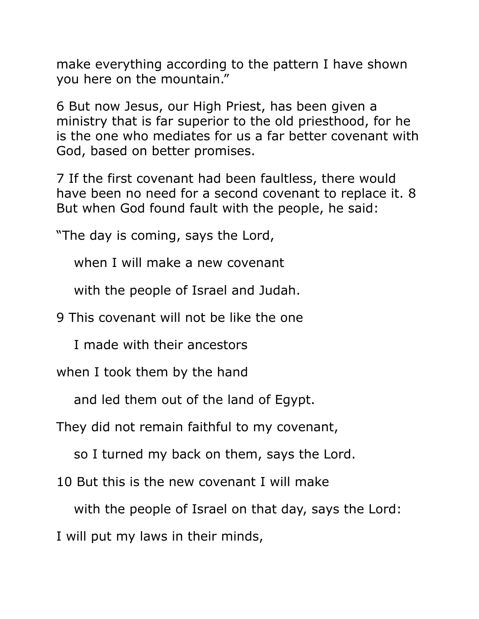make everything according to the pattern I have shown you here on the mountain."

6 But now Jesus, our High Priest, has been given a ministry that is far superior to the old priesthood, for he is the one who mediates for us a far better covenant with God, based on better promises.

7 If the first covenant had been faultless, there would have been no need for a second covenant to replace it. 8 But when God found fault with the people, he said:

"The day is coming, says the Lord,

when I will make a new covenant

with the people of Israel and Judah.

9 This covenant will not be like the one

I made with their ancestors

when I took them by the hand

and led them out of the land of Egypt.

They did not remain faithful to my covenant,

so I turned my back on them, says the Lord.

10 But this is the new covenant I will make

with the people of Israel on that day, says the Lord:

I will put my laws in their minds,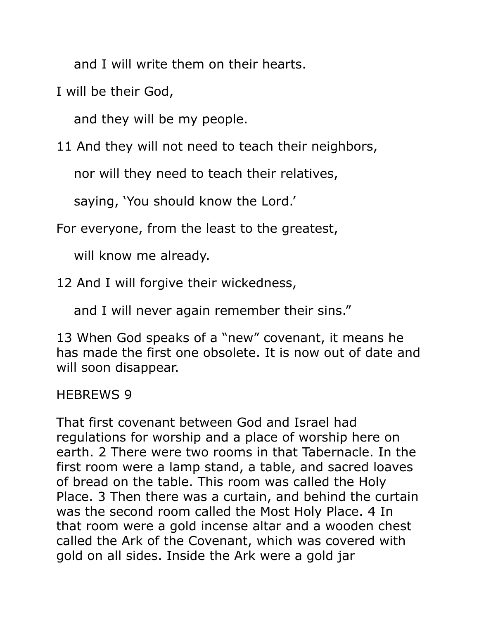and I will write them on their hearts.

I will be their God,

and they will be my people.

11 And they will not need to teach their neighbors,

nor will they need to teach their relatives,

saying, 'You should know the Lord.'

For everyone, from the least to the greatest,

will know me already.

12 And I will forgive their wickedness,

and I will never again remember their sins."

13 When God speaks of a "new" covenant, it means he has made the first one obsolete. It is now out of date and will soon disappear.

### HEBREWS 9

That first covenant between God and Israel had regulations for worship and a place of worship here on earth. 2 There were two rooms in that Tabernacle. In the first room were a lamp stand, a table, and sacred loaves of bread on the table. This room was called the Holy Place. 3 Then there was a curtain, and behind the curtain was the second room called the Most Holy Place. 4 In that room were a gold incense altar and a wooden chest called the Ark of the Covenant, which was covered with gold on all sides. Inside the Ark were a gold jar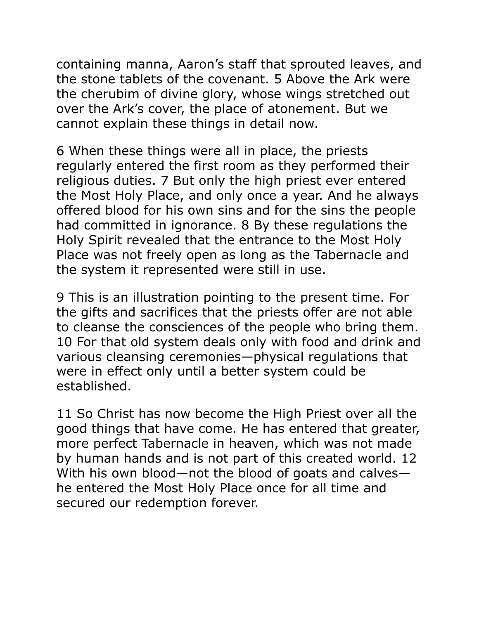containing manna, Aaron's staff that sprouted leaves, and the stone tablets of the covenant. 5 Above the Ark were the cherubim of divine glory, whose wings stretched out over the Ark's cover, the place of atonement. But we cannot explain these things in detail now.

6 When these things were all in place, the priests regularly entered the first room as they performed their religious duties. 7 But only the high priest ever entered the Most Holy Place, and only once a year. And he always offered blood for his own sins and for the sins the people had committed in ignorance. 8 By these regulations the Holy Spirit revealed that the entrance to the Most Holy Place was not freely open as long as the Tabernacle and the system it represented were still in use.

9 This is an illustration pointing to the present time. For the gifts and sacrifices that the priests offer are not able to cleanse the consciences of the people who bring them. 10 For that old system deals only with food and drink and various cleansing ceremonies—physical regulations that were in effect only until a better system could be established.

11 So Christ has now become the High Priest over all the good things that have come. He has entered that greater, more perfect Tabernacle in heaven, which was not made by human hands and is not part of this created world. 12 With his own blood—not the blood of goats and calves he entered the Most Holy Place once for all time and secured our redemption forever.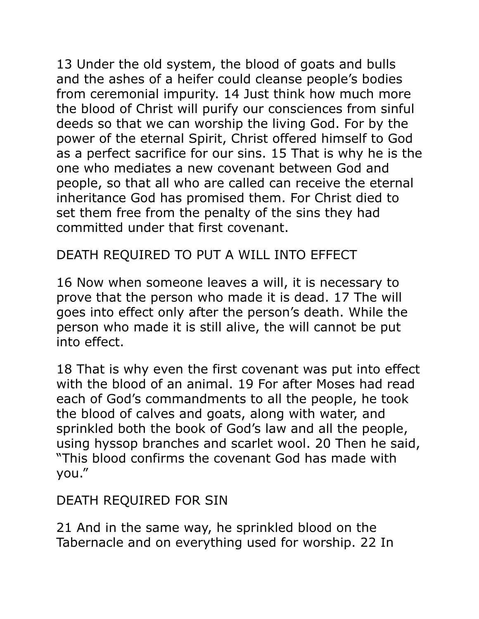13 Under the old system, the blood of goats and bulls and the ashes of a heifer could cleanse people's bodies from ceremonial impurity. 14 Just think how much more the blood of Christ will purify our consciences from sinful deeds so that we can worship the living God. For by the power of the eternal Spirit, Christ offered himself to God as a perfect sacrifice for our sins. 15 That is why he is the one who mediates a new covenant between God and people, so that all who are called can receive the eternal inheritance God has promised them. For Christ died to set them free from the penalty of the sins they had committed under that first covenant.

## DEATH REQUIRED TO PUT A WILL INTO EFFECT

16 Now when someone leaves a will, it is necessary to prove that the person who made it is dead. 17 The will goes into effect only after the person's death. While the person who made it is still alive, the will cannot be put into effect.

18 That is why even the first covenant was put into effect with the blood of an animal. 19 For after Moses had read each of God's commandments to all the people, he took the blood of calves and goats, along with water, and sprinkled both the book of God's law and all the people, using hyssop branches and scarlet wool. 20 Then he said, "This blood confirms the covenant God has made with you."

## DEATH REQUIRED FOR SIN

21 And in the same way, he sprinkled blood on the Tabernacle and on everything used for worship. 22 In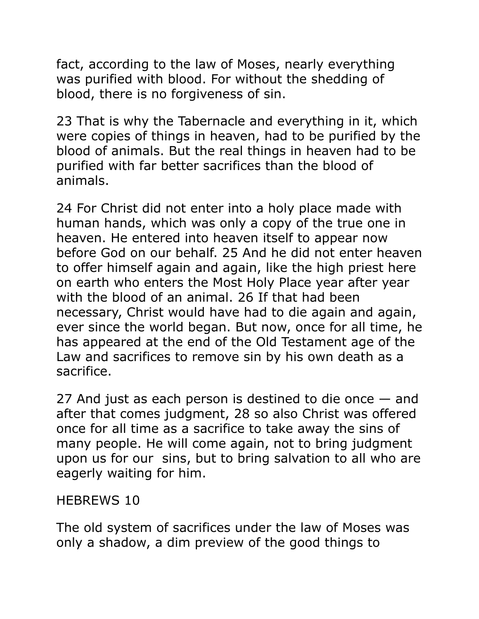fact, according to the law of Moses, nearly everything was purified with blood. For without the shedding of blood, there is no forgiveness of sin.

23 That is why the Tabernacle and everything in it, which were copies of things in heaven, had to be purified by the blood of animals. But the real things in heaven had to be purified with far better sacrifices than the blood of animals.

24 For Christ did not enter into a holy place made with human hands, which was only a copy of the true one in heaven. He entered into heaven itself to appear now before God on our behalf. 25 And he did not enter heaven to offer himself again and again, like the high priest here on earth who enters the Most Holy Place year after year with the blood of an animal. 26 If that had been necessary, Christ would have had to die again and again, ever since the world began. But now, once for all time, he has appeared at the end of the Old Testament age of the Law and sacrifices to remove sin by his own death as a sacrifice.

27 And just as each person is destined to die once — and after that comes judgment, 28 so also Christ was offered once for all time as a sacrifice to take away the sins of many people. He will come again, not to bring judgment upon us for our sins, but to bring salvation to all who are eagerly waiting for him.

### HEBREWS 10

The old system of sacrifices under the law of Moses was only a shadow, a dim preview of the good things to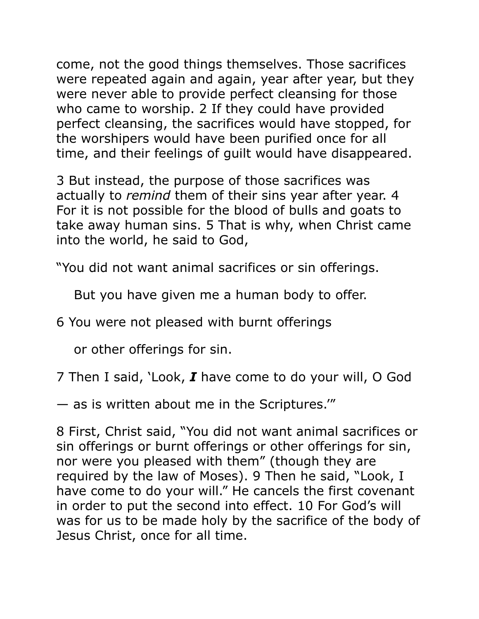come, not the good things themselves. Those sacrifices were repeated again and again, year after year, but they were never able to provide perfect cleansing for those who came to worship. 2 If they could have provided perfect cleansing, the sacrifices would have stopped, for the worshipers would have been purified once for all time, and their feelings of guilt would have disappeared.

3 But instead, the purpose of those sacrifices was actually to *remind* them of their sins year after year. 4 For it is not possible for the blood of bulls and goats to take away human sins. 5 That is why, when Christ came into the world, he said to God,

"You did not want animal sacrifices or sin offerings.

But you have given me a human body to offer.

6 You were not pleased with burnt offerings

or other offerings for sin.

7 Then I said, 'Look, *I* have come to do your will, O God

— as is written about me in the Scriptures.'"

8 First, Christ said, "You did not want animal sacrifices or sin offerings or burnt offerings or other offerings for sin, nor were you pleased with them" (though they are required by the law of Moses). 9 Then he said, "Look, I have come to do your will." He cancels the first covenant in order to put the second into effect. 10 For God's will was for us to be made holy by the sacrifice of the body of Jesus Christ, once for all time.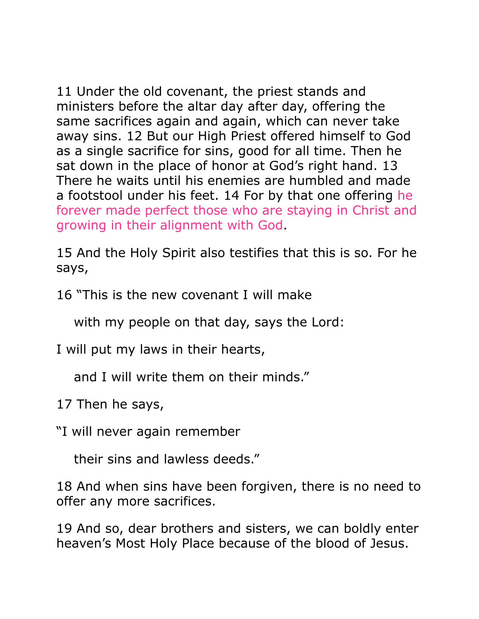11 Under the old covenant, the priest stands and ministers before the altar day after day, offering the same sacrifices again and again, which can never take away sins. 12 But our High Priest offered himself to God as a single sacrifice for sins, good for all time. Then he sat down in the place of honor at God's right hand. 13 There he waits until his enemies are humbled and made a footstool under his feet. 14 For by that one offering he forever made perfect those who are staying in Christ and growing in their alignment with God.

15 And the Holy Spirit also testifies that this is so. For he says,

16 "This is the new covenant I will make

with my people on that day, says the Lord:

I will put my laws in their hearts,

and I will write them on their minds."

17 Then he says,

"I will never again remember

their sins and lawless deeds."

18 And when sins have been forgiven, there is no need to offer any more sacrifices.

19 And so, dear brothers and sisters, we can boldly enter heaven's Most Holy Place because of the blood of Jesus.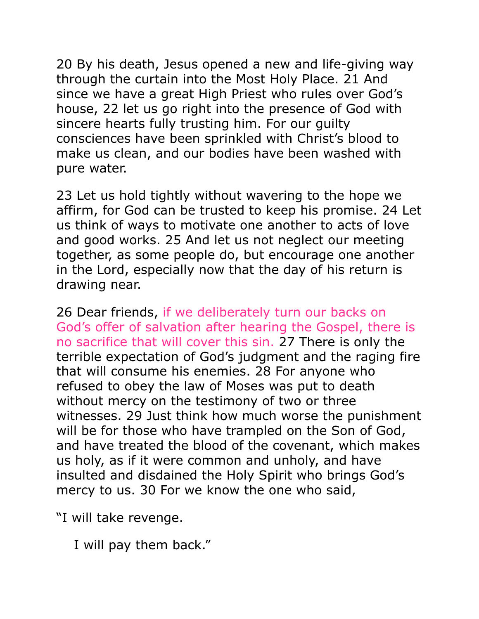20 By his death, Jesus opened a new and life-giving way through the curtain into the Most Holy Place. 21 And since we have a great High Priest who rules over God's house, 22 let us go right into the presence of God with sincere hearts fully trusting him. For our guilty consciences have been sprinkled with Christ's blood to make us clean, and our bodies have been washed with pure water.

23 Let us hold tightly without wavering to the hope we affirm, for God can be trusted to keep his promise. 24 Let us think of ways to motivate one another to acts of love and good works. 25 And let us not neglect our meeting together, as some people do, but encourage one another in the Lord, especially now that the day of his return is drawing near.

26 Dear friends, if we deliberately turn our backs on God's offer of salvation after hearing the Gospel, there is no sacrifice that will cover this sin. 27 There is only the terrible expectation of God's judgment and the raging fire that will consume his enemies. 28 For anyone who refused to obey the law of Moses was put to death without mercy on the testimony of two or three witnesses. 29 Just think how much worse the punishment will be for those who have trampled on the Son of God, and have treated the blood of the covenant, which makes us holy, as if it were common and unholy, and have insulted and disdained the Holy Spirit who brings God's mercy to us. 30 For we know the one who said,

"I will take revenge.

I will pay them back."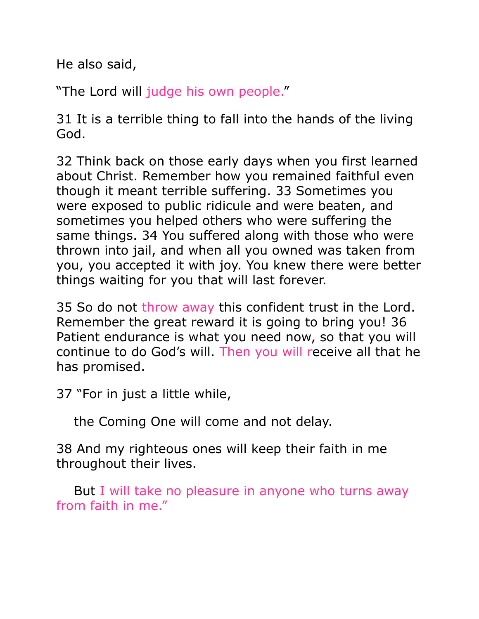He also said,

"The Lord will judge his own people."

31 It is a terrible thing to fall into the hands of the living God.

32 Think back on those early days when you first learned about Christ. Remember how you remained faithful even though it meant terrible suffering. 33 Sometimes you were exposed to public ridicule and were beaten, and sometimes you helped others who were suffering the same things. 34 You suffered along with those who were thrown into jail, and when all you owned was taken from you, you accepted it with joy. You knew there were better things waiting for you that will last forever.

35 So do not throw away this confident trust in the Lord. Remember the great reward it is going to bring you! 36 Patient endurance is what you need now, so that you will continue to do God's will. Then you will receive all that he has promised.

37 "For in just a little while,

the Coming One will come and not delay.

38 And my righteous ones will keep their faith in me throughout their lives.

But I will take no pleasure in anyone who turns away from faith in me."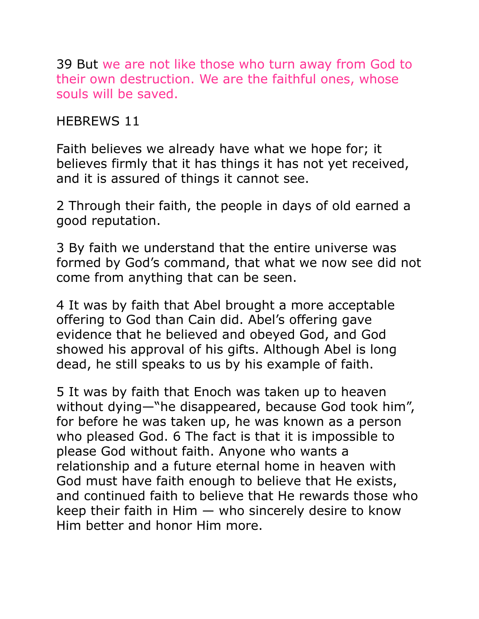39 But we are not like those who turn away from God to their own destruction. We are the faithful ones, whose souls will be saved.

#### HEBREWS 11

Faith believes we already have what we hope for; it believes firmly that it has things it has not yet received, and it is assured of things it cannot see.

2 Through their faith, the people in days of old earned a good reputation.

3 By faith we understand that the entire universe was formed by God's command, that what we now see did not come from anything that can be seen.

4 It was by faith that Abel brought a more acceptable offering to God than Cain did. Abel's offering gave evidence that he believed and obeyed God, and God showed his approval of his gifts. Although Abel is long dead, he still speaks to us by his example of faith.

5 It was by faith that Enoch was taken up to heaven without dying—"he disappeared, because God took him", for before he was taken up, he was known as a person who pleased God. 6 The fact is that it is impossible to please God without faith. Anyone who wants a relationship and a future eternal home in heaven with God must have faith enough to believe that He exists, and continued faith to believe that He rewards those who keep their faith in Him  $-$  who sincerely desire to know Him better and honor Him more.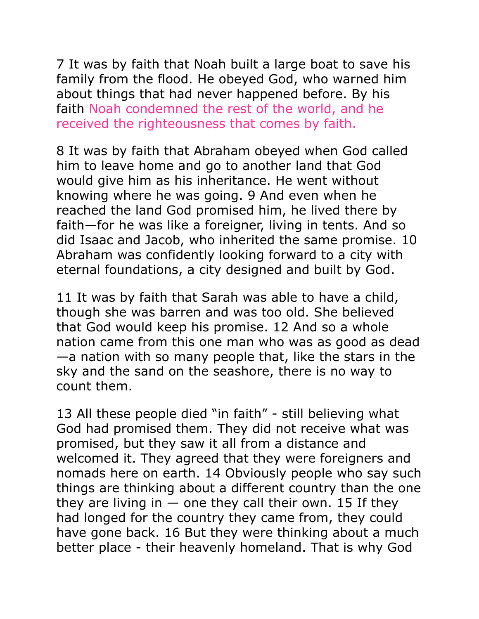7 It was by faith that Noah built a large boat to save his family from the flood. He obeyed God, who warned him about things that had never happened before. By his faith Noah condemned the rest of the world, and he received the righteousness that comes by faith.

8 It was by faith that Abraham obeyed when God called him to leave home and go to another land that God would give him as his inheritance. He went without knowing where he was going. 9 And even when he reached the land God promised him, he lived there by faith—for he was like a foreigner, living in tents. And so did Isaac and Jacob, who inherited the same promise. 10 Abraham was confidently looking forward to a city with eternal foundations, a city designed and built by God.

11 It was by faith that Sarah was able to have a child, though she was barren and was too old. She believed that God would keep his promise. 12 And so a whole nation came from this one man who was as good as dead —a nation with so many people that, like the stars in the sky and the sand on the seashore, there is no way to count them.

13 All these people died "in faith" - still believing what God had promised them. They did not receive what was promised, but they saw it all from a distance and welcomed it. They agreed that they were foreigners and nomads here on earth. 14 Obviously people who say such things are thinking about a different country than the one they are living in  $-$  one they call their own. 15 If they had longed for the country they came from, they could have gone back. 16 But they were thinking about a much better place - their heavenly homeland. That is why God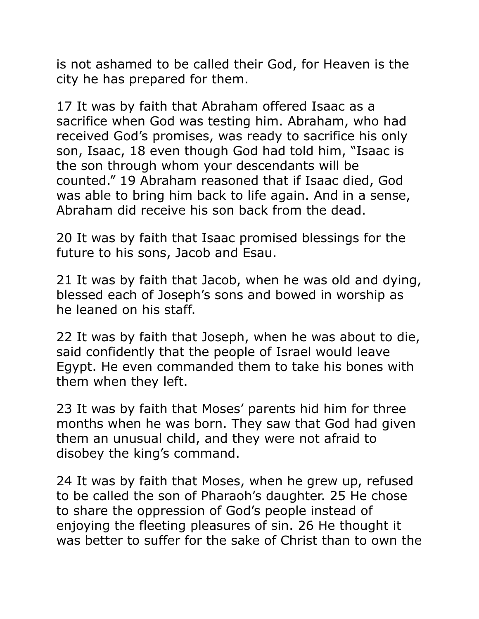is not ashamed to be called their God, for Heaven is the city he has prepared for them.

17 It was by faith that Abraham offered Isaac as a sacrifice when God was testing him. Abraham, who had received God's promises, was ready to sacrifice his only son, Isaac, 18 even though God had told him, "Isaac is the son through whom your descendants will be counted." 19 Abraham reasoned that if Isaac died, God was able to bring him back to life again. And in a sense, Abraham did receive his son back from the dead.

20 It was by faith that Isaac promised blessings for the future to his sons, Jacob and Esau.

21 It was by faith that Jacob, when he was old and dying, blessed each of Joseph's sons and bowed in worship as he leaned on his staff.

22 It was by faith that Joseph, when he was about to die, said confidently that the people of Israel would leave Egypt. He even commanded them to take his bones with them when they left.

23 It was by faith that Moses' parents hid him for three months when he was born. They saw that God had given them an unusual child, and they were not afraid to disobey the king's command.

24 It was by faith that Moses, when he grew up, refused to be called the son of Pharaoh's daughter. 25 He chose to share the oppression of God's people instead of enjoying the fleeting pleasures of sin. 26 He thought it was better to suffer for the sake of Christ than to own the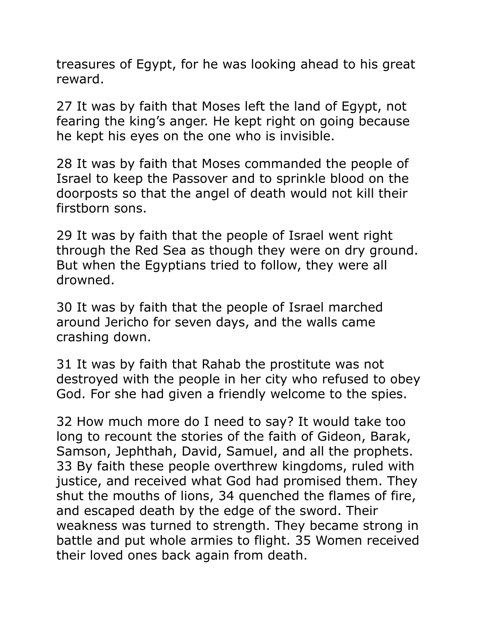treasures of Egypt, for he was looking ahead to his great reward.

27 It was by faith that Moses left the land of Egypt, not fearing the king's anger. He kept right on going because he kept his eyes on the one who is invisible.

28 It was by faith that Moses commanded the people of Israel to keep the Passover and to sprinkle blood on the doorposts so that the angel of death would not kill their firstborn sons.

29 It was by faith that the people of Israel went right through the Red Sea as though they were on dry ground. But when the Egyptians tried to follow, they were all drowned.

30 It was by faith that the people of Israel marched around Jericho for seven days, and the walls came crashing down.

31 It was by faith that Rahab the prostitute was not destroyed with the people in her city who refused to obey God. For she had given a friendly welcome to the spies.

32 How much more do I need to say? It would take too long to recount the stories of the faith of Gideon, Barak, Samson, Jephthah, David, Samuel, and all the prophets. 33 By faith these people overthrew kingdoms, ruled with justice, and received what God had promised them. They shut the mouths of lions, 34 quenched the flames of fire, and escaped death by the edge of the sword. Their weakness was turned to strength. They became strong in battle and put whole armies to flight. 35 Women received their loved ones back again from death.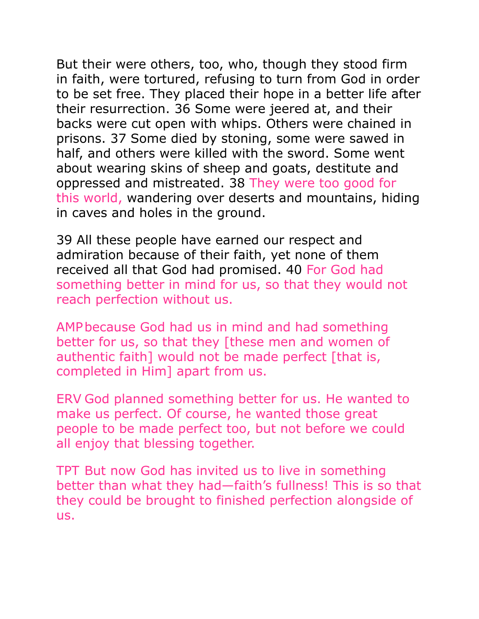But their were others, too, who, though they stood firm in faith, were tortured, refusing to turn from God in order to be set free. They placed their hope in a better life after their resurrection. 36 Some were jeered at, and their backs were cut open with whips. Others were chained in prisons. 37 Some died by stoning, some were sawed in half, and others were killed with the sword. Some went about wearing skins of sheep and goats, destitute and oppressed and mistreated. 38 They were too good for this world, wandering over deserts and mountains, hiding in caves and holes in the ground.

39 All these people have earned our respect and admiration because of their faith, yet none of them received all that God had promised. 40 For God had something better in mind for us, so that they would not reach perfection without us.

AMP because God had us in mind and had something better for us, so that they [these men and women of authentic faith] would not be made perfect [that is, completed in Him] apart from us.

ERV God planned something better for us. He wanted to make us perfect. Of course, he wanted those great people to be made perfect too, but not before we could all enjoy that blessing together.

TPT But now God has invited us to live in something better than what they had—faith's fullness! This is so that they could be brought to finished perfection alongside of us.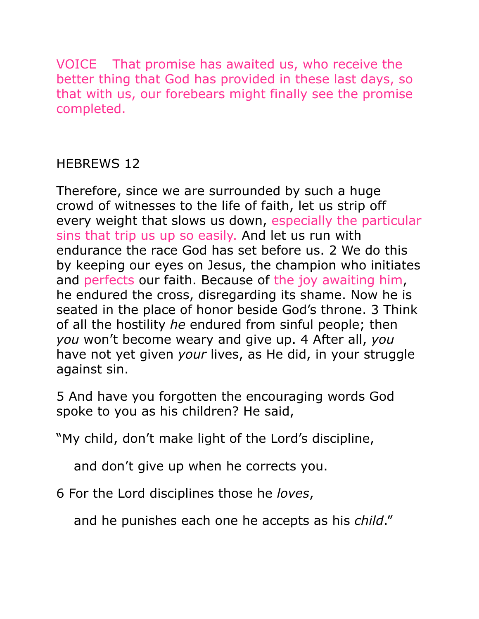VOICE That promise has awaited us, who receive the better thing that God has provided in these last days, so that with us, our forebears might finally see the promise completed.

## HEBREWS 12

Therefore, since we are surrounded by such a huge crowd of witnesses to the life of faith, let us strip off every weight that slows us down, especially the particular sins that trip us up so easily. And let us run with endurance the race God has set before us. 2 We do this by keeping our eyes on Jesus, the champion who initiates and perfects our faith. Because of the joy awaiting him, he endured the cross, disregarding its shame. Now he is seated in the place of honor beside God's throne. 3 Think of all the hostility *he* endured from sinful people; then *you* won't become weary and give up. 4 After all, *you*  have not yet given *your* lives, as He did, in your struggle against sin.

5 And have you forgotten the encouraging words God spoke to you as his children? He said,

"My child, don't make light of the Lord's discipline,

and don't give up when he corrects you.

6 For the Lord disciplines those he *loves*,

and he punishes each one he accepts as his *child*."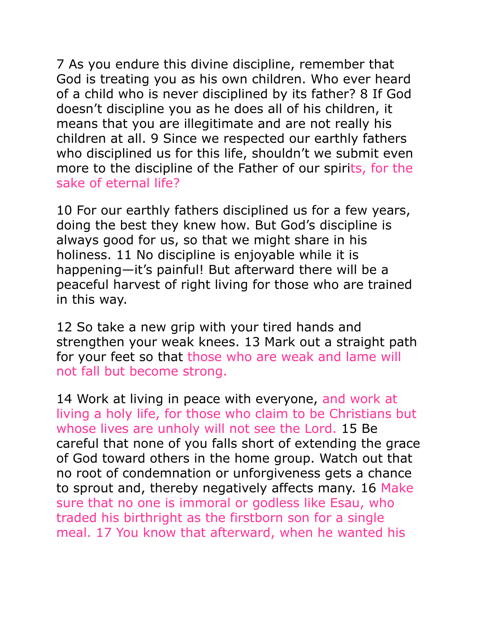7 As you endure this divine discipline, remember that God is treating you as his own children. Who ever heard of a child who is never disciplined by its father? 8 If God doesn't discipline you as he does all of his children, it means that you are illegitimate and are not really his children at all. 9 Since we respected our earthly fathers who disciplined us for this life, shouldn't we submit even more to the discipline of the Father of our spirits, for the sake of eternal life?

10 For our earthly fathers disciplined us for a few years, doing the best they knew how. But God's discipline is always good for us, so that we might share in his holiness. 11 No discipline is enjoyable while it is happening—it's painful! But afterward there will be a peaceful harvest of right living for those who are trained in this way.

12 So take a new grip with your tired hands and strengthen your weak knees. 13 Mark out a straight path for your feet so that those who are weak and lame will not fall but become strong.

14 Work at living in peace with everyone, and work at living a holy life, for those who claim to be Christians but whose lives are unholy will not see the Lord. 15 Be careful that none of you falls short of extending the grace of God toward others in the home group. Watch out that no root of condemnation or unforgiveness gets a chance to sprout and, thereby negatively affects many. 16 Make sure that no one is immoral or godless like Esau, who traded his birthright as the firstborn son for a single meal. 17 You know that afterward, when he wanted his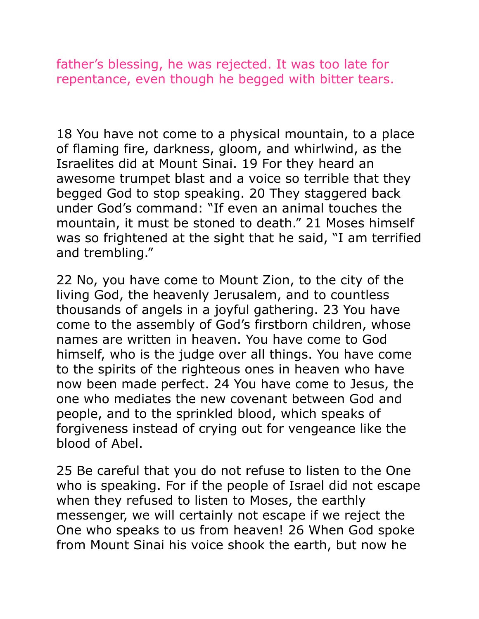father's blessing, he was rejected. It was too late for repentance, even though he begged with bitter tears.

18 You have not come to a physical mountain, to a place of flaming fire, darkness, gloom, and whirlwind, as the Israelites did at Mount Sinai. 19 For they heard an awesome trumpet blast and a voice so terrible that they begged God to stop speaking. 20 They staggered back under God's command: "If even an animal touches the mountain, it must be stoned to death." 21 Moses himself was so frightened at the sight that he said, "I am terrified and trembling."

22 No, you have come to Mount Zion, to the city of the living God, the heavenly Jerusalem, and to countless thousands of angels in a joyful gathering. 23 You have come to the assembly of God's firstborn children, whose names are written in heaven. You have come to God himself, who is the judge over all things. You have come to the spirits of the righteous ones in heaven who have now been made perfect. 24 You have come to Jesus, the one who mediates the new covenant between God and people, and to the sprinkled blood, which speaks of forgiveness instead of crying out for vengeance like the blood of Abel.

25 Be careful that you do not refuse to listen to the One who is speaking. For if the people of Israel did not escape when they refused to listen to Moses, the earthly messenger, we will certainly not escape if we reject the One who speaks to us from heaven! 26 When God spoke from Mount Sinai his voice shook the earth, but now he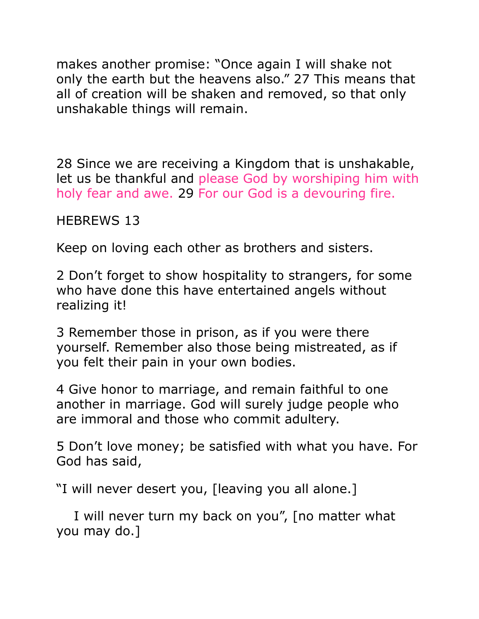makes another promise: "Once again I will shake not only the earth but the heavens also." 27 This means that all of creation will be shaken and removed, so that only unshakable things will remain.

28 Since we are receiving a Kingdom that is unshakable, let us be thankful and please God by worshiping him with holy fear and awe. 29 For our God is a devouring fire.

HEBREWS 13

Keep on loving each other as brothers and sisters.

2 Don't forget to show hospitality to strangers, for some who have done this have entertained angels without realizing it!

3 Remember those in prison, as if you were there yourself. Remember also those being mistreated, as if you felt their pain in your own bodies.

4 Give honor to marriage, and remain faithful to one another in marriage. God will surely judge people who are immoral and those who commit adultery.

5 Don't love money; be satisfied with what you have. For God has said,

"I will never desert you, [leaving you all alone.]

 I will never turn my back on you", [no matter what you may do.]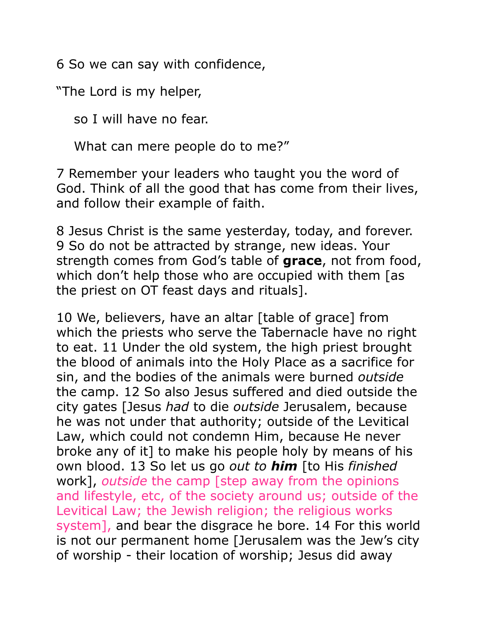6 So we can say with confidence,

"The Lord is my helper,

so I will have no fear.

What can mere people do to me?"

7 Remember your leaders who taught you the word of God. Think of all the good that has come from their lives, and follow their example of faith.

8 Jesus Christ is the same yesterday, today, and forever. 9 So do not be attracted by strange, new ideas. Your strength comes from God's table of **grace**, not from food, which don't help those who are occupied with them [as the priest on OT feast days and rituals].

10 We, believers, have an altar [table of grace] from which the priests who serve the Tabernacle have no right to eat. 11 Under the old system, the high priest brought the blood of animals into the Holy Place as a sacrifice for sin, and the bodies of the animals were burned *outside* the camp. 12 So also Jesus suffered and died outside the city gates [Jesus *had* to die *outside* Jerusalem, because he was not under that authority; outside of the Levitical Law, which could not condemn Him, because He never broke any of it] to make his people holy by means of his own blood. 13 So let us go *out to him* [to His *finished*  work], *outside* the camp [step away from the opinions and lifestyle, etc, of the society around us; outside of the Levitical Law; the Jewish religion; the religious works system], and bear the disgrace he bore. 14 For this world is not our permanent home [Jerusalem was the Jew's city of worship - their location of worship; Jesus did away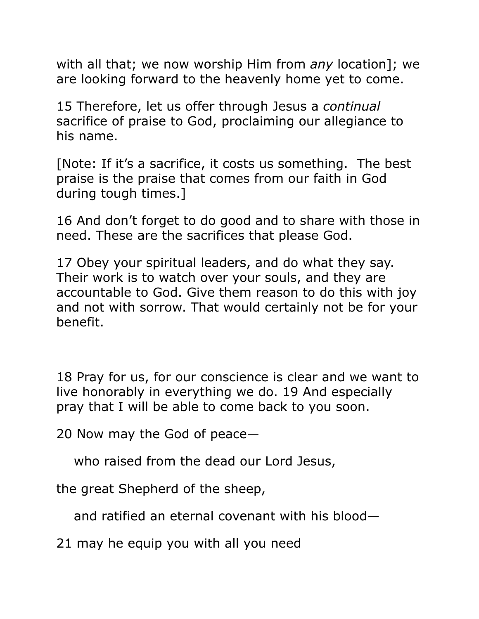with all that; we now worship Him from *any* location]; we are looking forward to the heavenly home yet to come.

15 Therefore, let us offer through Jesus a *continual* sacrifice of praise to God, proclaiming our allegiance to his name.

[Note: If it's a sacrifice, it costs us something. The best praise is the praise that comes from our faith in God during tough times.]

16 And don't forget to do good and to share with those in need. These are the sacrifices that please God.

17 Obey your spiritual leaders, and do what they say. Their work is to watch over your souls, and they are accountable to God. Give them reason to do this with joy and not with sorrow. That would certainly not be for your benefit.

18 Pray for us, for our conscience is clear and we want to live honorably in everything we do. 19 And especially pray that I will be able to come back to you soon.

20 Now may the God of peace—

who raised from the dead our Lord Jesus,

the great Shepherd of the sheep,

and ratified an eternal covenant with his blood—

21 may he equip you with all you need